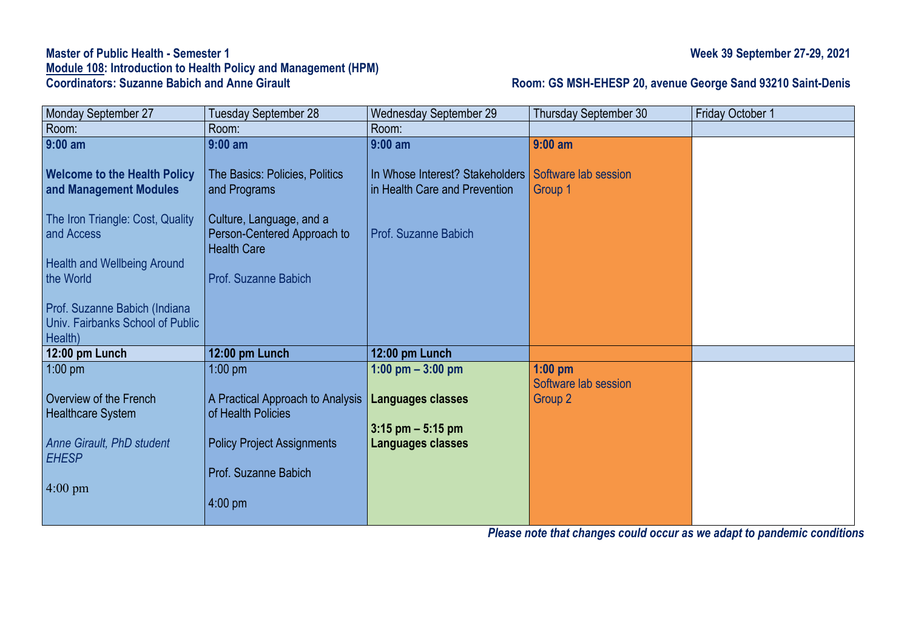# **Master of Public Health - Semester 1 Week 39 September 27-29, 2021 Module 108: Introduction to Health Policy and Management (HPM)**

## **Room: GS MSH-EHESP 20, avenue George Sand 93210 Saint-Denis**

| Monday September 27                              | Tuesday September 28                              | Wednesday September 29          | Thursday September 30 | Friday October 1 |
|--------------------------------------------------|---------------------------------------------------|---------------------------------|-----------------------|------------------|
| Room:                                            | Room:                                             | Room:                           |                       |                  |
| $9:00$ am                                        | $9:00$ am                                         | $9:00$ am                       | $9:00$ am             |                  |
|                                                  |                                                   |                                 |                       |                  |
| <b>Welcome to the Health Policy</b>              | The Basics: Policies, Politics                    | In Whose Interest? Stakeholders | Software lab session  |                  |
| and Management Modules                           | and Programs                                      | in Health Care and Prevention   | Group 1               |                  |
|                                                  |                                                   |                                 |                       |                  |
| The Iron Triangle: Cost, Quality                 | Culture, Language, and a                          | <b>Prof. Suzanne Babich</b>     |                       |                  |
| and Access                                       | Person-Centered Approach to<br><b>Health Care</b> |                                 |                       |                  |
| <b>Health and Wellbeing Around</b>               |                                                   |                                 |                       |                  |
| the World                                        | Prof. Suzanne Babich                              |                                 |                       |                  |
|                                                  |                                                   |                                 |                       |                  |
| Prof. Suzanne Babich (Indiana                    |                                                   |                                 |                       |                  |
| Univ. Fairbanks School of Public                 |                                                   |                                 |                       |                  |
| Health)                                          |                                                   |                                 |                       |                  |
| 12:00 pm Lunch                                   | 12:00 pm Lunch                                    | 12:00 pm Lunch                  |                       |                  |
| $1:00$ pm                                        | $1:00$ pm                                         | 1:00 pm $-3:00$ pm              | $1:00$ pm             |                  |
|                                                  |                                                   |                                 | Software lab session  |                  |
| Overview of the French                           | A Practical Approach to Analysis                  | Languages classes               | Group <sub>2</sub>    |                  |
| <b>Healthcare System</b>                         | of Health Policies                                |                                 |                       |                  |
|                                                  |                                                   | $3:15$ pm $-5:15$ pm            |                       |                  |
| <b>Anne Girault, PhD student</b><br><b>EHESP</b> | <b>Policy Project Assignments</b>                 | Languages classes               |                       |                  |
|                                                  | Prof. Suzanne Babich                              |                                 |                       |                  |
| $4:00 \text{ pm}$                                |                                                   |                                 |                       |                  |
|                                                  | $4:00$ pm                                         |                                 |                       |                  |
|                                                  |                                                   |                                 |                       |                  |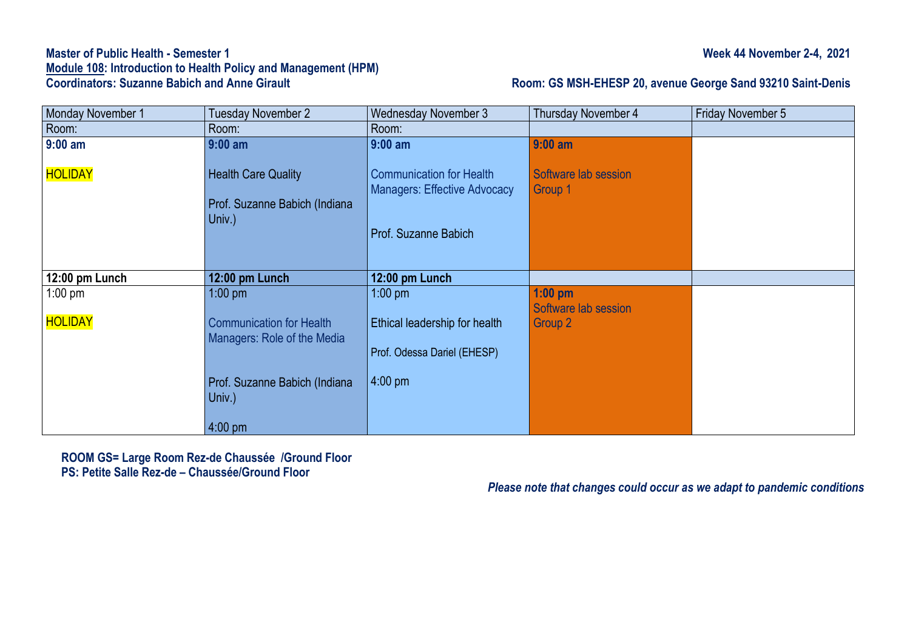# **Master of Public Health - Semester 1 Week 44 November 2-4, 2021 Module 108: Introduction to Health Policy and Management (HPM)**

### **Room: GS MSH-EHESP 20, avenue George Sand 93210 Saint-Denis**

| Monday November 1           | <b>Tuesday November 2</b>                                                   | <b>Wednesday November 3</b>                                                                    | <b>Thursday November 4</b>                   | Friday November 5 |
|-----------------------------|-----------------------------------------------------------------------------|------------------------------------------------------------------------------------------------|----------------------------------------------|-------------------|
| Room:                       | Room:                                                                       | Room:                                                                                          |                                              |                   |
| $9:00$ am                   | $9:00$ am                                                                   | $9:00$ am                                                                                      | $9:00$ am                                    |                   |
| HOLIDAY                     | <b>Health Care Quality</b><br>Prof. Suzanne Babich (Indiana<br>Univ.)       | <b>Communication for Health</b><br><b>Managers: Effective Advocacy</b><br>Prof. Suzanne Babich | Software lab session<br>Group 1              |                   |
| 12:00 pm Lunch              | 12:00 pm Lunch                                                              | 12:00 pm Lunch                                                                                 |                                              |                   |
| $1:00$ pm<br><b>HOLIDAY</b> | $1:00$ pm<br><b>Communication for Health</b><br>Managers: Role of the Media | $1:00$ pm<br>Ethical leadership for health<br>Prof. Odessa Dariel (EHESP)                      | $1:00$ pm<br>Software lab session<br>Group 2 |                   |
|                             | Prof. Suzanne Babich (Indiana<br>Univ.)<br>$4:00 \text{ pm}$                | $4:00$ pm                                                                                      |                                              |                   |

**ROOM GS= Large Room Rez-de Chaussée /Ground Floor PS: Petite Salle Rez-de – Chaussée/Ground Floor**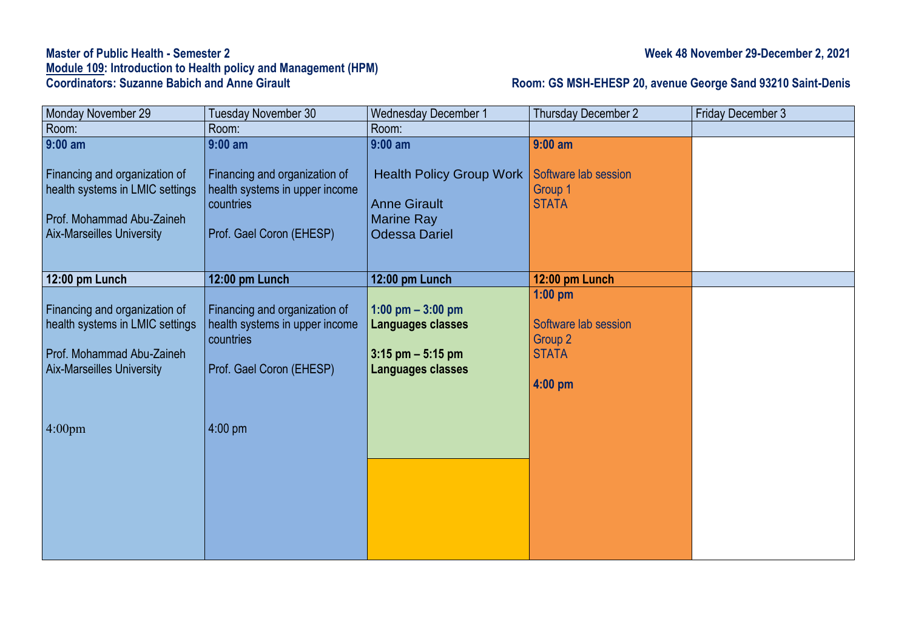# **Master of Public Health - Semester 2** Week 48 November 29-December 2, 2021 **Module 109: Introduction to Health policy and Management (HPM)**

### **Coordinators: Suzanne Babich and Anne Girault Room: GS MSH-EHESP 20, avenue George Sand 93210 Saint-Denis**

| Monday November 29               | Tuesday November 30            | <b>Wednesday December 1</b>     | Thursday December 2  | <b>Friday December 3</b> |
|----------------------------------|--------------------------------|---------------------------------|----------------------|--------------------------|
| Room:                            | Room:                          | Room:                           |                      |                          |
| $9:00$ am                        | $9:00$ am                      | $9:00$ am                       | $9:00$ am            |                          |
| Financing and organization of    | Financing and organization of  | <b>Health Policy Group Work</b> | Software lab session |                          |
| health systems in LMIC settings  | health systems in upper income |                                 | Group 1              |                          |
|                                  | countries                      | <b>Anne Girault</b>             | <b>STATA</b>         |                          |
| Prof. Mohammad Abu-Zaineh        |                                | <b>Marine Ray</b>               |                      |                          |
| <b>Aix-Marseilles University</b> | Prof. Gael Coron (EHESP)       | <b>Odessa Dariel</b>            |                      |                          |
|                                  |                                |                                 |                      |                          |
| 12:00 pm Lunch                   | 12:00 pm Lunch                 | 12:00 pm Lunch                  | 12:00 pm Lunch       |                          |
|                                  |                                |                                 | $1:00$ pm            |                          |
| Financing and organization of    | Financing and organization of  | 1:00 pm $-$ 3:00 pm             |                      |                          |
| health systems in LMIC settings  | health systems in upper income | Languages classes               | Software lab session |                          |
|                                  | countries                      |                                 | Group 2              |                          |
| Prof. Mohammad Abu-Zaineh        |                                | $3:15$ pm $-5:15$ pm            | <b>STATA</b>         |                          |
| <b>Aix-Marseilles University</b> | Prof. Gael Coron (EHESP)       | <b>Languages classes</b>        |                      |                          |
|                                  |                                |                                 | $4:00$ pm            |                          |
|                                  |                                |                                 |                      |                          |
| 4:00 <sub>pm</sub>               | 4:00 pm                        |                                 |                      |                          |
|                                  |                                |                                 |                      |                          |
|                                  |                                |                                 |                      |                          |
|                                  |                                |                                 |                      |                          |
|                                  |                                |                                 |                      |                          |
|                                  |                                |                                 |                      |                          |
|                                  |                                |                                 |                      |                          |
|                                  |                                |                                 |                      |                          |
|                                  |                                |                                 |                      |                          |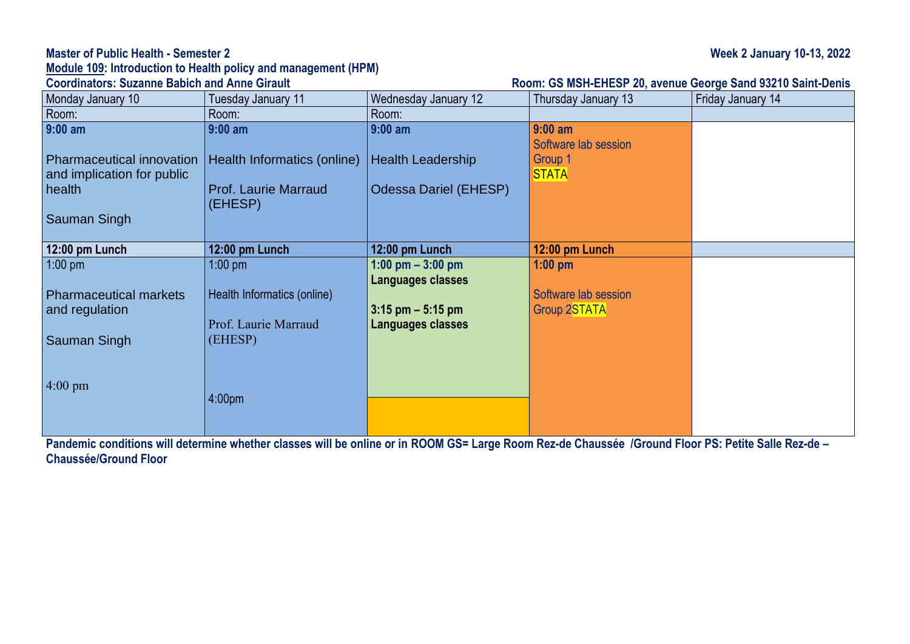### **Master of Public Health - Semester 2 Week 2 January 10-13, 2022**

# **Module 109: Introduction to Health policy and management (HPM)**

### **Room: GS MSH-EHESP 20, avenue George Sand 93210 Saint-Denis**

| Monday January 10                                              | Tuesday January 11                     | Wednesday January 12         | Thursday January 13               | Friday January 14 |
|----------------------------------------------------------------|----------------------------------------|------------------------------|-----------------------------------|-------------------|
| Room:                                                          | Room:                                  | Room:                        |                                   |                   |
| $9:00$ am                                                      | $9:00$ am                              | $9:00$ am                    | $9:00$ am<br>Software lab session |                   |
| <b>Pharmaceutical innovation</b><br>and implication for public | Health Informatics (online)            | <b>Health Leadership</b>     | Group 1<br><b>STATA</b>           |                   |
| health                                                         | <b>Prof. Laurie Marraud</b><br>(EHESP) | <b>Odessa Dariel (EHESP)</b> |                                   |                   |
| Sauman Singh                                                   |                                        |                              |                                   |                   |
| 12:00 pm Lunch                                                 | 12:00 pm Lunch                         | 12:00 pm Lunch               | 12:00 pm Lunch                    |                   |
| $1:00$ pm                                                      | $1:00$ pm                              | 1:00 pm $-$ 3:00 pm          | $1:00$ pm                         |                   |
|                                                                |                                        | Languages classes            |                                   |                   |
| <b>Pharmaceutical markets</b>                                  | Health Informatics (online)            |                              | Software lab session              |                   |
| and regulation                                                 |                                        | $3:15$ pm $-5:15$ pm         | <b>Group 2STATA</b>               |                   |
|                                                                | Prof. Laurie Marraud                   | Languages classes            |                                   |                   |
| Sauman Singh                                                   | (EHESP)                                |                              |                                   |                   |
|                                                                |                                        |                              |                                   |                   |
| $4:00 \text{ pm}$                                              | 4:00 <sub>pm</sub>                     |                              |                                   |                   |
|                                                                |                                        |                              |                                   |                   |
|                                                                |                                        |                              |                                   |                   |

**Pandemic conditions will determine whether classes will be online or in ROOM GS= Large Room Rez-de Chaussée /Ground Floor PS: Petite Salle Rez-de – Chaussée/Ground Floor**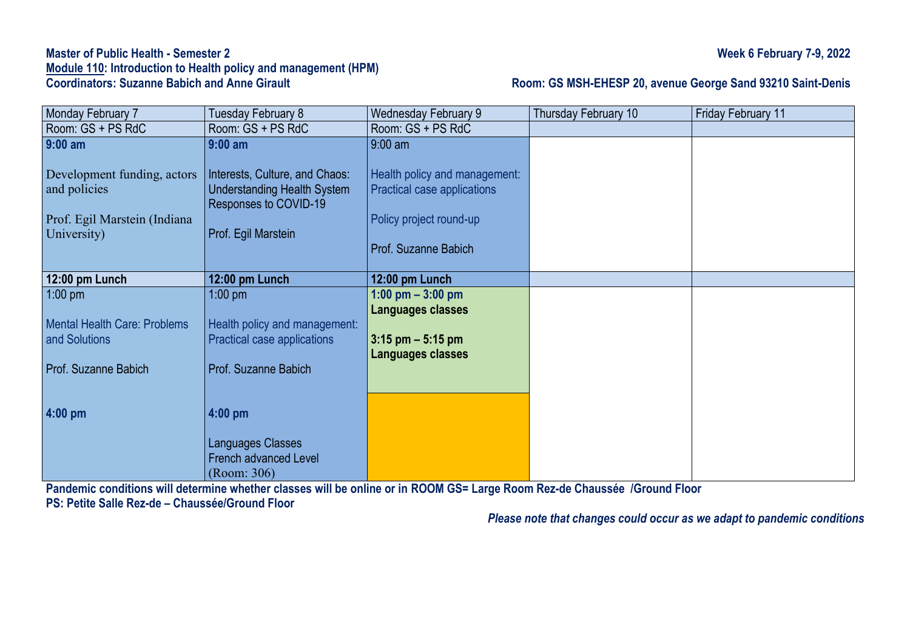## **Master of Public Health - Semester 2 Week 6 February 7-9, 2022 Module 110: Introduction to Health policy and management (HPM)**

## **Room: GS MSH-EHESP 20, avenue George Sand 93210 Saint-Denis**

| Monday February 7            | Tuesday February 8                 | Wednesday February 9          | Thursday February 10 | <b>Friday February 11</b> |
|------------------------------|------------------------------------|-------------------------------|----------------------|---------------------------|
| Room: GS + PS RdC            | Room: GS + PS RdC                  | Room: GS + PS RdC             |                      |                           |
| $9:00$ am                    | $9:00$ am                          | $9:00$ am                     |                      |                           |
|                              |                                    |                               |                      |                           |
| Development funding, actors  | Interests, Culture, and Chaos:     | Health policy and management: |                      |                           |
| and policies                 | <b>Understanding Health System</b> | Practical case applications   |                      |                           |
|                              | Responses to COVID-19              |                               |                      |                           |
| Prof. Egil Marstein (Indiana |                                    | Policy project round-up       |                      |                           |
| University)                  | Prof. Egil Marstein                |                               |                      |                           |
|                              |                                    | Prof. Suzanne Babich          |                      |                           |
|                              |                                    |                               |                      |                           |
| 12:00 pm Lunch               | 12:00 pm Lunch                     | 12:00 pm Lunch                |                      |                           |
| $1:00$ pm                    | $1:00$ pm                          | 1:00 pm $-$ 3:00 pm           |                      |                           |
|                              |                                    | Languages classes             |                      |                           |
| Mental Health Care: Problems | Health policy and management:      |                               |                      |                           |
| and Solutions                | Practical case applications        | $3:15$ pm $-5:15$ pm          |                      |                           |
|                              |                                    | Languages classes             |                      |                           |
| <b>Prof. Suzanne Babich</b>  | Prof. Suzanne Babich               |                               |                      |                           |
|                              |                                    |                               |                      |                           |
|                              |                                    |                               |                      |                           |
| $4:00$ pm                    | $4:00$ pm                          |                               |                      |                           |
|                              |                                    |                               |                      |                           |
|                              | Languages Classes                  |                               |                      |                           |
|                              | <b>French advanced Level</b>       |                               |                      |                           |
|                              | (Room: 306)                        |                               |                      |                           |

Pandemic conditions will determine whether classes will be online or in ROOM GS= Large Room Rez-de Chaussée /Ground Floor

**PS: Petite Salle Rez-de – Chaussée/Ground Floor**